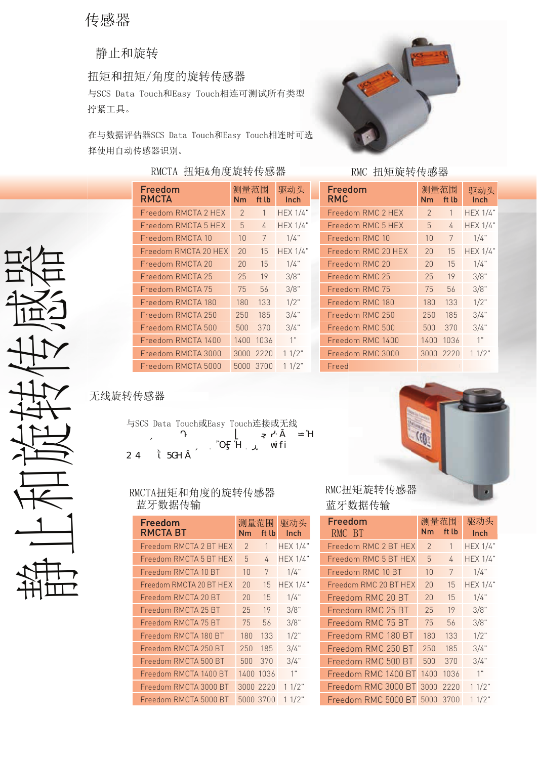# 传感器

静止和旋转

扭矩和扭矩/角度的旋转传感器

Freedom

与SCS Data Touch和Easy Touch相连可测试所有类型 拧紧工具。

在与数据评估器SCS Data Touch和Easy Touch相连时可选 择使用自动传感器识别。

# RMCTA 扭矩&角度旋转传感器 RMC 扭矩旋转传感器

Freedom RMCTA 2 HEX 2 1 HEX 1/4" Freedom RMCTA 5 HEX  $\overline{5}$  5 4 HEX 1/4" Freedom RMCTA 10 10 7 1/4" Freedom RMCTA 20 HEX 20 15 HEX 1/4" Freedom RMCTA 20 20 15 1/4" Freedom RMCTA 25 25 19 3/8" Freedom RMCTA 75 75 56 3/8" Freedom RMCTA 180 180 133 1/2" Freedom RMCTA 250 250 185 3/4" Freedom RMCTA 500 500 370 3/4" Freedom RMCTA 1400 1400 1036 1" Freedom RMCTA 3000 3000 2220 1 1/2" Freedom RMCTA 5000 5000 3700 1 1/2"

Nm ft lb Inch

测量范围 驱动头 测量范围 驱动头



| Freedom<br><b>RMC</b> | 测量范围<br>Nm     | ft lb | 驱动头<br>Inch     |
|-----------------------|----------------|-------|-----------------|
| Freedom RMC 2 HEX     | $\overline{2}$ | 1     | <b>HEX 1/4"</b> |
| Freedom RMC 5 HFX     | 5              | 4     | <b>HEX 1/4"</b> |
| Freedom RMC 10        | 10             | 7     | 1/4"            |
| Freedom RMC 20 HEX    | 20             | 15    | <b>HEX 1/4"</b> |
| Freedom RMC 20        | 20             | 15    | $1/4$ "         |
| Freedom RMC 25        | 25             | 19    | 3/8"            |
| Freedom RMC 75        | 75             | 56    | 3/8"            |
| Freedom RMC 180       | 180            | 133   | $1/2$ "         |
| Freedom RMC 250       | 250            | 185   | 3/4"            |
| Freedom RMC 500       | 500            | 370   | 3/4"            |
| Freedom RMC 1400      | 1400           | 1036  | 1"              |
| Freedom RMC 3000      | 3000           | 2220  | 11/2"           |
| Freed                 |                |       |                 |

# Freedom RMCTA 20 HEX<br>
Freedom RMCTA 20 15<br>
Freedom RMCTA 20 20 15<br>
Freedom RMCTA 20<br>
Freedom RMCTA 180<br>
Freedom RMCTA 180<br>
Freedom RMCTA 180<br>
Freedom RMCTA 180<br>
Freedom RMCTA 180<br>
Freedom RMCTA 200<br>
Freedom RMCTA 28THEX<br>

&  $(GE^*$   $): < z$ 

与SCS Data Touch或Easy Touch连接或无线

 $k$ ] $Z$ 

# 蓝牙数据传输

| Freedom<br><b>RMCTA BT</b> | 测量范围<br>Nm     | ft lb     | 驱动头<br>Inch     |
|----------------------------|----------------|-----------|-----------------|
| Freedom RMCTA 2 BT HEX     | $\overline{2}$ | 1         | <b>HEX 1/4"</b> |
| Freedom RMCTA 5 BT HEX     | 5              | 4         | <b>HEX 1/4"</b> |
| Freedom RMCTA 10 BT        | 10             | 7         | 1/4"            |
| Freedom RMCTA 20 BT HEX    | 20             | 15        | <b>HEX 1/4"</b> |
| Freedom RMCTA 20 BT        | 20             | 15        | 1/4"            |
| Freedom RMCTA 25 BT        | 25             | 19        | 3/8"            |
| Freedom RMCTA 75 BT        | 75             | 56        | 3/8"            |
| Freedom RMCTA 180 BT       | 180            | 133       | $1/2$ "         |
| Freedom RMCTA 250 BT       | 250            | 185       | 3/4"            |
| Freedom RMCTA 500 BT       | 500            | 370       | 3/4"            |
| Freedom RMCTA 1400 BT      | 1400           | 1036      | 1"              |
| Freedom RMCTA 3000 BT      | 3000           | 2220      | 11/2"           |
| Freedom RMCTA 5000 BT      |                | 5000 3700 | 11/2"           |



# RMC扭矩旋转传感器 蓝牙数据传输

| BТ              | 测量范围<br>Nm    | ft lb     | 驱动头<br>Inch     | Freedom<br>RMC BT        | 测量范围<br>Nm     | ft lb | 驱动头<br>Inch     |
|-----------------|---------------|-----------|-----------------|--------------------------|----------------|-------|-----------------|
| RMCTA 2 BT HEX  | $\mathcal{L}$ | 1         | <b>HEX 1/4"</b> | Freedom RMC 2 BT HEX     | $\overline{2}$ | 1     | <b>HEX 1/4"</b> |
| RMCTA 5 BT HEX  | 5             | 4         | <b>HEX 1/4"</b> | Freedom RMC 5 BT HEX     | 5              | 4     | <b>HEX 1/4"</b> |
| RMCTA 10 BT     | 10            | 7         | 1/4"            | Freedom RMC 10 BT        | 10             | 7     | 1/4"            |
| RMCTA 20 BT HEX | 20            | 15        | <b>HEX 1/4"</b> | Freedom RMC 20 BT HEX    | 20             | 15    | <b>HEX 1/4"</b> |
| RMCTA 20 BT     | 20            | 15        | 1/4"            | Freedom RMC 20 BT        | 20             | 15    | 1/4"            |
| RMCTA 25 BT     | 25            | 19        | 3/8"            | Freedom RMC 25 BT        | 25             | 19    | 3/8"            |
| RMCTA 75 BT     | 75            | 56        | 3/8"            | Freedom RMC 75 BT        | 75             | 56    | 3/8"            |
| RMCTA 180 BT    | 180           | 133       | $1/2$ "         | Freedom RMC 180 BT       | 180            | 133   | $1/2$ "         |
| RMCTA 250 BT    | 250           | 185       | 3/4"            | Freedom RMC 250 BT       | 250            | 185   | 3/4"            |
| RMCTA 500 BT    | 500           | 370       | 3/4"            | Freedom RMC 500 BT       | 500            | 370   | 3/4"            |
| RMCTA 1400 BT   | 1400          | 1036      | 1"              | Freedom RMC 1400 BT      | 1400           | 1036  | 1"              |
| RMCTA 3000 BT   |               | 3000 2220 | 11/2"           | Freedom RMC 3000 BT 3000 |                | 2220  | 11/2"           |
| RMCTA 5000 BT   |               | 5000 3700 | 11/2"           | Freedom RMC 5000 BT      | 5000           | 3700  | 11/2"           |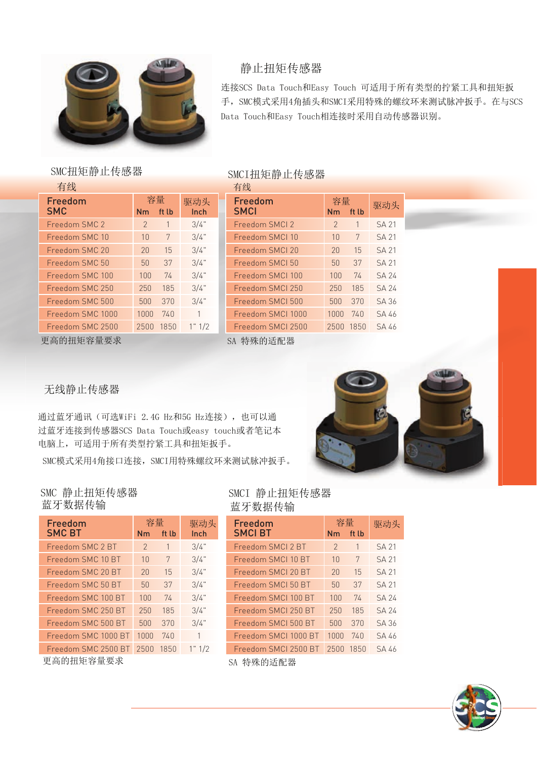

# 静止扭矩传感器

连接SCS Data Touch和Easy Touch 可适用于所有类型的拧紧工具和扭矩扳 手, SMC模式采用4角插头和SMCI采用特殊的螺纹环来测试脉冲扳手。在与SCS Data Touch和Easy Touch相连接时采用自动传感器识别。

# SMC扭矩静止传感器 SMCI扭矩静止传感器

有线 有线 医心包 医心包 医心包 有线

| Freedom                        | 容量            |       | 驱动头    |
|--------------------------------|---------------|-------|--------|
| <b>SMC</b>                     | Nm            | ft lb | Inch   |
| Freedom SMC 2                  | $\mathcal{P}$ | 1     | 3/4"   |
| Freedom SMC 10                 | 10            | 7     | 3/4"   |
| Freedom SMC 20                 | 20            | 15    | 3/4"   |
| Freedom SMC 50                 | 50            | 37    | 3/4"   |
| Freedom SMC 100                | 100           | 74    | 3/4"   |
| Freedom SMC 250                | 250           | 185   | 3/4"   |
| Freedom SMC 500                | 500           | 370   | 3/4"   |
| Freedom SMC 1000               | 1000          | 740   | 1      |
| Freedom SMC 2500               | 2500          | 1850  | 1" 1/2 |
| <del>고 는</del> 44 h /r 순 目 표 소 |               |       |        |

|                | 日ン                                                   |        |          |                   |               |      |              |  |  |
|----------------|------------------------------------------------------|--------|----------|-------------------|---------------|------|--------------|--|--|
|                | 容量<br>Freedom<br>驱动头<br><b>SMCI</b><br>ft lb<br>Inch |        | 容量<br>Nm | ft lb             | 驱动头           |      |              |  |  |
|                | 1                                                    | 3/4"   |          | Freedom SMCI 2    | $\mathcal{L}$ | 1    | <b>SA 21</b> |  |  |
|                | 7                                                    | 3/4"   |          | Freedom SMCI 10   | 10            | 7    | <b>SA 21</b> |  |  |
|                | 15                                                   | 3/4"   |          | Freedom SMCI 20   | 20            | 15   | <b>SA 21</b> |  |  |
| J              | 37                                                   | 3/4"   |          | Freedom SMCI 50   | 50            | 37   | <b>SA 21</b> |  |  |
| $\overline{0}$ | 74                                                   | 3/4"   |          | Freedom SMCI 100  | 100           | 74   | <b>SA 24</b> |  |  |
| $\cup$         | 185                                                  | 3/4"   |          | Freedom SMCI 250  | 250           | 185  | <b>SA 24</b> |  |  |
| $\Omega$       | 370                                                  | 3/4"   |          | Freedom SMCI 500  | 500           | 370  | <b>SA 36</b> |  |  |
| 00             | 740                                                  | 1      |          | Freedom SMCI 1000 | 1000          | 740  | SA 46        |  |  |
| 00             | 1850                                                 | 1" 1/2 |          | Freedom SMCI 2500 | 2500          | 1850 | SA 46        |  |  |
|                |                                                      |        |          |                   |               |      |              |  |  |

更高的扭矩容量要求 SA 特殊的适配器

无线静止传感器

通过蓝牙通讯(可选WiFi 2.4G Hz和5G Hz连接), 也可以通 过蓝牙连接到传感器SCS Data Touch或easy touch或者笔记本 电脑上,可适用于所有类型拧紧工具和扭矩扳手。 SMC模式采用4角接口连接, SMCI用特殊螺纹环来测试脉冲扳手。



# SMC 静止扭矩传感器 蓝牙数据传输

| Freedom             | 容量            |       | 驱动头    |
|---------------------|---------------|-------|--------|
| <b>SMC BT</b>       | Nm            | ft lb | Inch   |
| Freedom SMC 2 BT    | $\mathcal{P}$ | 1     | 3/4"   |
| Freedom SMC 10 BT   | 10            | 7     | 3/4"   |
| Freedom SMC 20 BT   | 20            | 15    | 3/4"   |
| Freedom SMC 50 BT   | 50            | 37    | 3/4"   |
| Freedom SMC 100 BT  | 100           | 74    | 3/4"   |
| Freedom SMC 250 BT  | 250           | 185   | 3/4"   |
| Freedom SMC 500 BT  | 500           | 370   | 3/4"   |
| Freedom SMC 1000 BT | 1000          | 740   | 1      |
| Freedom SMC 2500 BT | 2500          | 1850  | 1" 1/2 |
| 更高的扭矩容量要求           |               |       |        |

SMCI 静止扭矩传感器 蓝牙数据传输

| 容量<br>驱动头      |       |        | Freedom              | 容量             |       | 驱动头          |  |
|----------------|-------|--------|----------------------|----------------|-------|--------------|--|
| 'n             | ft lb | Inch   | <b>SMCIBT</b>        | Nm             | ft lb |              |  |
|                | 1     | 3/4"   | Freedom SMCI 2 BT    | $\overline{2}$ | 1     | <b>SA 21</b> |  |
| N              | 7     | 3/4"   | Freedom SMCI 10 BT   | 10             | 7     | <b>SA 21</b> |  |
| N              | 15    | 3/4"   | Freedom SMCI 20 BT   | 20             | 15    | <b>SA 21</b> |  |
| N              | 37    | 3/4"   | Freedom SMCI 50 BT   | 50             | 37    | <b>SA 21</b> |  |
| ĴО             | 74    | 3/4"   | Freedom SMCI 100 BT  | 100            | 74    | <b>SA 24</b> |  |
| 50             | 185   | 3/4"   | Freedom SMCI 250 BT  | 250            | 185   | <b>SA 24</b> |  |
| ĴО             | 370   | 3/4"   | Freedom SMCI 500 BT  | 500            | 370   | <b>SA 36</b> |  |
| OO.            | 740   | 1      | Freedom SMCI 1000 BT | 1000           | 740   | SA 46        |  |
| 00             | 1850  | 1" 1/2 | Freedom SMCI 2500 BT | 2500           | 1850  | SA 46        |  |
| ○ ▲ 起班 的过手而且 嬰 |       |        |                      |                |       |              |  |

SA 特殊的适配器

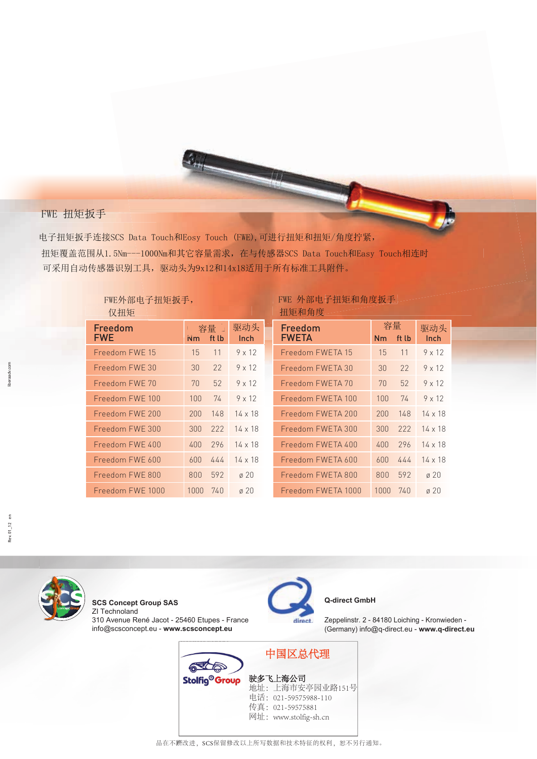# FWE 扭矩扳手

电子扭矩扳手连接SCS Data Touch和Eosy Touch (FWE), 可进行扭矩和扭矩/角度拧紧, 扭矩覆盖范围从1.5Nm---1000Nm和其它容量需求, 在与传感器SCS Data Touch和Easy Touch相连时 可采用自动传感器识别工具,驱动头为9x12和14x18适用于所有标准工具附件。

| FWE外部电子扭矩扳手,<br>仅扭矩   |                |              |                  |  |  |  |
|-----------------------|----------------|--------------|------------------|--|--|--|
| Freedom<br><b>FWE</b> | N <sub>m</sub> | 容量」<br>ft lb | 驱动头<br>Inch      |  |  |  |
| Freedom FWF 15        | 15             | 11           | $9 \times 12$    |  |  |  |
| Freedom FWF 30        | 30             | 22           | $9 \times 12$    |  |  |  |
| Freedom FWE 70        | 70             | 52           | $9 \times 12$    |  |  |  |
| Freedom FWF 100       | 100            | 74           | $9 \times 12$    |  |  |  |
| Freedom FWF 200       | 200            | 148          | $14 \times 18$   |  |  |  |
| Freedom FWF 300       | 300            | 222          | $14 \times 18$   |  |  |  |
| Freedom FWE 400       | 400            | 296          | $14 \times 18$   |  |  |  |
| Freedom FWE 600       | 600            | 444          | $14 \times 18$   |  |  |  |
| Freedom FWE 800       | 800            | 592          | $\varnothing$ 20 |  |  |  |
| Freedom FWE 1000      | 1000           | 740          | $\varnothing$ 20 |  |  |  |

## FWE 外部电子扭矩和角度扳手 扣钻和鱼底

| Freedom<br><b>FWETA</b> | 容量<br>Nm | ft lb | 驱动头<br>Inch    |
|-------------------------|----------|-------|----------------|
|                         |          |       |                |
| Freedom FWETA 15        | 15       | 11    | $9 \times 12$  |
| Freedom FWFTA 30        | 30       | 22    | $9 \times 12$  |
| Freedom FWETA 70        | 70       | 52    | $9 \times 12$  |
| Freedom FWETA 100       | 100      | 74    | $9 \times 12$  |
| Freedom FWFTA 200       | 200      | 148   | $14 \times 18$ |
| Freedom FWFTA 300       | 300      | 222   | $14 \times 18$ |
| Freedom FWFTA 400       | 400      | 296   | $14 \times 18$ |
| Freedom FWFTA 600       | 600      | 444   | $14 \times 18$ |
| Freedom FWETA 800       | 800      | 592   | $\alpha$ 20    |
| Freedom FWFTA 1000      | 1000     | 740   | ø 20           |

iberaadv.cor



**SCS Concept Group SAS** ZI Technoland 310 Avenue René Jacot - 25460 Etupes - France info@scsconcept.eu - www.scsconcept.eu



# Q-direct GmbH

Zeppelinstr. 2 - 84180 Loiching - Kronwieden -(Germany) info@q-direct.eu - www.q-direct.eu

中国区总代理 RCE **Stolfig<sup>®</sup> Group** 驶多飞上海公司 地址: 上海市安亭园业路151号<br>电话: 021-59575988-110 传真: 021-59575881 网址: www.stolfig-sh.cn